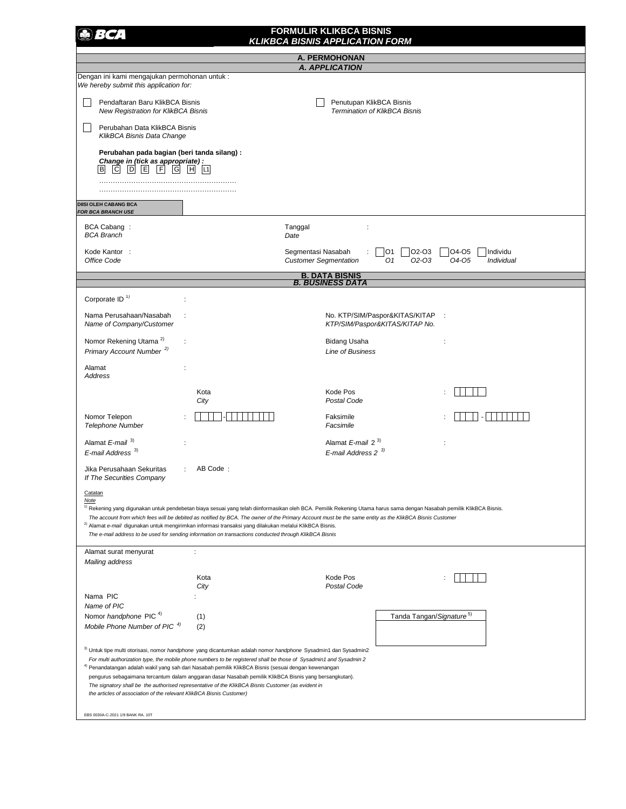| $\mathbf{E}(\bullet)$                                                                                                                                                                                                                                                                                                                                                                                                                                                                                                                                                                                                                           |                      | <b>FORMULIR KLIKBCA BISNIS</b><br><b>KLIKBCA BISNIS APPLICATION FORM</b>                                                                                                                                                                                                                                                                    |                                                                                     |
|-------------------------------------------------------------------------------------------------------------------------------------------------------------------------------------------------------------------------------------------------------------------------------------------------------------------------------------------------------------------------------------------------------------------------------------------------------------------------------------------------------------------------------------------------------------------------------------------------------------------------------------------------|----------------------|---------------------------------------------------------------------------------------------------------------------------------------------------------------------------------------------------------------------------------------------------------------------------------------------------------------------------------------------|-------------------------------------------------------------------------------------|
|                                                                                                                                                                                                                                                                                                                                                                                                                                                                                                                                                                                                                                                 |                      | <b>A. PERMOHONAN</b>                                                                                                                                                                                                                                                                                                                        |                                                                                     |
|                                                                                                                                                                                                                                                                                                                                                                                                                                                                                                                                                                                                                                                 |                      | A. APPLICATION                                                                                                                                                                                                                                                                                                                              |                                                                                     |
| Dengan ini kami mengajukan permohonan untuk:<br>We hereby submit this application for:                                                                                                                                                                                                                                                                                                                                                                                                                                                                                                                                                          |                      |                                                                                                                                                                                                                                                                                                                                             |                                                                                     |
| Pendaftaran Baru KlikBCA Bisnis<br>New Registration for KlikBCA Bisnis                                                                                                                                                                                                                                                                                                                                                                                                                                                                                                                                                                          |                      | Penutupan KlikBCA Bisnis<br>Termination of KlikBCA Bisnis                                                                                                                                                                                                                                                                                   |                                                                                     |
| Perubahan Data KlikBCA Bisnis<br>$\mathsf{L}$<br>KlikBCA Bisnis Data Change                                                                                                                                                                                                                                                                                                                                                                                                                                                                                                                                                                     |                      |                                                                                                                                                                                                                                                                                                                                             |                                                                                     |
| Perubahan pada bagian (beri tanda silang) :<br>Change in (tick as appropriate) :<br>C D E F G H u<br>IВ                                                                                                                                                                                                                                                                                                                                                                                                                                                                                                                                         |                      |                                                                                                                                                                                                                                                                                                                                             |                                                                                     |
|                                                                                                                                                                                                                                                                                                                                                                                                                                                                                                                                                                                                                                                 |                      |                                                                                                                                                                                                                                                                                                                                             |                                                                                     |
| <b>DIISI OLEH CABANG BCA</b><br><b>FOR BCA BRANCH USE</b>                                                                                                                                                                                                                                                                                                                                                                                                                                                                                                                                                                                       |                      |                                                                                                                                                                                                                                                                                                                                             |                                                                                     |
| BCA Cabang:<br><b>BCA Branch</b>                                                                                                                                                                                                                                                                                                                                                                                                                                                                                                                                                                                                                |                      | Tanggal<br>÷<br>Date                                                                                                                                                                                                                                                                                                                        |                                                                                     |
| Kode Kantor:<br>Office Code                                                                                                                                                                                                                                                                                                                                                                                                                                                                                                                                                                                                                     |                      | Segmentasi Nasabah<br><b>O1</b><br><b>Customer Segmentation</b><br>O <sub>1</sub>                                                                                                                                                                                                                                                           | O <sub>2</sub> -O <sub>3</sub><br>O4-O5<br>Individu<br>02-03<br>04-05<br>Individual |
|                                                                                                                                                                                                                                                                                                                                                                                                                                                                                                                                                                                                                                                 |                      | <u>B. DATA BISNIS<br/>B. BUSINESS DATA</u>                                                                                                                                                                                                                                                                                                  |                                                                                     |
| Corporate ID <sup>1)</sup>                                                                                                                                                                                                                                                                                                                                                                                                                                                                                                                                                                                                                      |                      |                                                                                                                                                                                                                                                                                                                                             |                                                                                     |
| Nama Perusahaan/Nasabah<br>Name of Company/Customer                                                                                                                                                                                                                                                                                                                                                                                                                                                                                                                                                                                             |                      | No. KTP/SIM/Paspor&KITAS/KITAP<br>KTP/SIM/Paspor&KITAS/KITAP No.                                                                                                                                                                                                                                                                            | $\ddot{\phantom{a}}$                                                                |
| Nomor Rekening Utama <sup>2)</sup><br>Primary Account Number <sup>2)</sup>                                                                                                                                                                                                                                                                                                                                                                                                                                                                                                                                                                      |                      | <b>Bidang Usaha</b><br>Line of Business                                                                                                                                                                                                                                                                                                     | $\ddot{\phantom{a}}$                                                                |
| Alamat<br>÷<br>Address                                                                                                                                                                                                                                                                                                                                                                                                                                                                                                                                                                                                                          |                      |                                                                                                                                                                                                                                                                                                                                             |                                                                                     |
|                                                                                                                                                                                                                                                                                                                                                                                                                                                                                                                                                                                                                                                 | Kota<br>City         | Kode Pos<br>Postal Code                                                                                                                                                                                                                                                                                                                     |                                                                                     |
| Nomor Telepon<br><b>Telephone Number</b>                                                                                                                                                                                                                                                                                                                                                                                                                                                                                                                                                                                                        |                      | Faksimile<br>Facsimile                                                                                                                                                                                                                                                                                                                      |                                                                                     |
| Alamat E-mail <sup>3)</sup><br>$E$ -mail Address <sup>3)</sup>                                                                                                                                                                                                                                                                                                                                                                                                                                                                                                                                                                                  |                      | Alamat $E$ -mail $2^{3}$<br>E-mail Address $2^{-3}$                                                                                                                                                                                                                                                                                         | $\ddot{\phantom{a}}$                                                                |
| Jika Perusahaan Sekuritas<br>If The Securities Company                                                                                                                                                                                                                                                                                                                                                                                                                                                                                                                                                                                          | AB Code:             |                                                                                                                                                                                                                                                                                                                                             |                                                                                     |
| Catatan                                                                                                                                                                                                                                                                                                                                                                                                                                                                                                                                                                                                                                         |                      |                                                                                                                                                                                                                                                                                                                                             |                                                                                     |
| <b>Note</b><br><sup>2)</sup> Alamat e-mail digunakan untuk mengirimkan informasi transaksi yang dilakukan melalui KlikBCA Bisnis.<br>The e-mail address to be used for sending information on transactions conducted through KlikBCA Bisnis                                                                                                                                                                                                                                                                                                                                                                                                     |                      | <sup>1)</sup> Rekening yang digunakan untuk pendebetan biaya sesuai yang telah diinformasikan oleh BCA. Pemilik Rekening Utama harus sama dengan Nasabah pemilik KlikBCA Bisnis.<br>The account from which fees will be debited as notified by BCA. The owner of the Primary Account must be the same entity as the KlikBCA Bisnis Customer |                                                                                     |
| Alamat surat menyurat<br>Mailing address                                                                                                                                                                                                                                                                                                                                                                                                                                                                                                                                                                                                        | $\ddot{\phantom{a}}$ |                                                                                                                                                                                                                                                                                                                                             |                                                                                     |
|                                                                                                                                                                                                                                                                                                                                                                                                                                                                                                                                                                                                                                                 | Kota<br>City         | Kode Pos<br>Postal Code                                                                                                                                                                                                                                                                                                                     |                                                                                     |
| Nama PIC                                                                                                                                                                                                                                                                                                                                                                                                                                                                                                                                                                                                                                        |                      |                                                                                                                                                                                                                                                                                                                                             |                                                                                     |
| Name of PIC<br>Nomor handphone PIC <sup>4)</sup>                                                                                                                                                                                                                                                                                                                                                                                                                                                                                                                                                                                                |                      |                                                                                                                                                                                                                                                                                                                                             | Tanda Tangan/Signature <sup>5)</sup>                                                |
| Mobile Phone Number of PIC 4)                                                                                                                                                                                                                                                                                                                                                                                                                                                                                                                                                                                                                   | (1)<br>(2)           |                                                                                                                                                                                                                                                                                                                                             |                                                                                     |
| 3) Untuk tipe multi otorisasi, nomor handphone yang dicantumkan adalah nomor handphone Sysadmin1 dan Sysadmin2<br>For multi authorization type, the mobile phone numbers to be registered shall be those of Sysadmin1 and Sysadmin 2<br><sup>4)</sup> Penandatangan adalah wakil yang sah dari Nasabah pemilik KlikBCA Bisnis (sesuai dengan kewenangan<br>pengurus sebagaimana tercantum dalam anggaran dasar Nasabah pemilik KlikBCA Bisnis yang bersangkutan).<br>The signatory shall be the authorised representative of the KlikBCA Bisnis Customer (as evident in<br>the articles of association of the relevant KlikBCA Bisnis Customer) |                      |                                                                                                                                                                                                                                                                                                                                             |                                                                                     |
| EBS 0030A-C-2021 1/9 BANK RA. 10T                                                                                                                                                                                                                                                                                                                                                                                                                                                                                                                                                                                                               |                      |                                                                                                                                                                                                                                                                                                                                             |                                                                                     |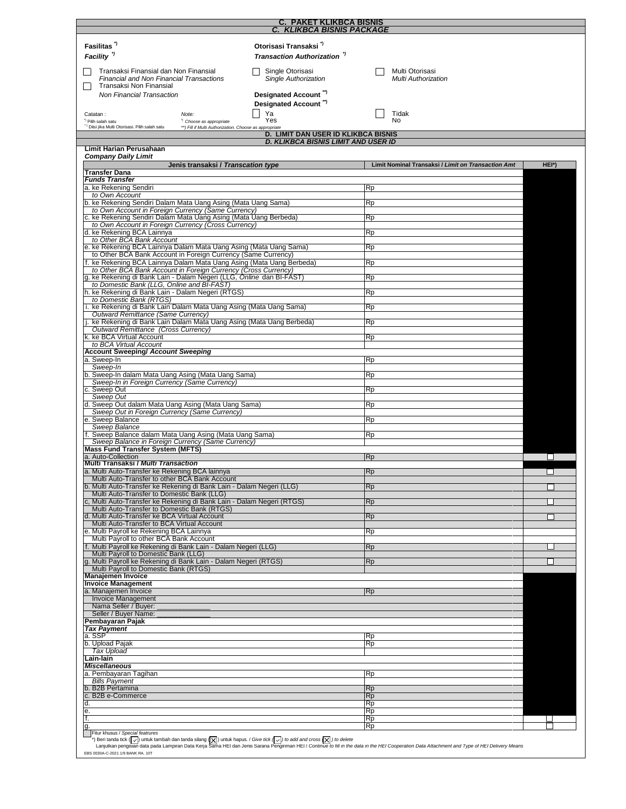|                                                                                                                                                                                  | <b>C. PAKET KLIKBCA BISNIS</b><br>C. KLIKBCA BISNIS PACKAGE                 |                 |                                                    |       |
|----------------------------------------------------------------------------------------------------------------------------------------------------------------------------------|-----------------------------------------------------------------------------|-----------------|----------------------------------------------------|-------|
|                                                                                                                                                                                  |                                                                             |                 |                                                    |       |
| <b>Fasilitas</b> <sup>'</sup><br>Facility <sup>"</sup>                                                                                                                           | Otorisasi Transaksi <sup>*)</sup><br>Transaction Authorization <sup>7</sup> |                 |                                                    |       |
| Transaksi Finansial dan Non Finansial                                                                                                                                            | Single Otorisasi                                                            |                 | Multi Otorisasi                                    |       |
| Financial and Non Financial Transactions<br>Transaksi Non Finansial                                                                                                              | Single Authorization                                                        |                 | <b>Multi Authorization</b>                         |       |
| <b>Non Financial Transaction</b>                                                                                                                                                 | Designated Account")                                                        |                 |                                                    |       |
|                                                                                                                                                                                  | Designated Account"                                                         |                 |                                                    |       |
| Catatan:<br>Note:                                                                                                                                                                | Ya                                                                          |                 | Tidak                                              |       |
| <sup>"</sup> Pilih salah satu<br><sup>7</sup> Choose as appropriate<br>") Diisi jika Multi Otorisasi. Pilih salah satu<br>**) Fill if Multi Authorization. Choose as appropriate | Yes                                                                         |                 | No                                                 |       |
|                                                                                                                                                                                  | D. LIMIT DAN USER ID KLIKBCA BISNIS                                         |                 |                                                    |       |
| Limit Harian Perusahaan                                                                                                                                                          | <b>D. KLIKBCA BISNIS LIMIT AND USER ID</b>                                  |                 |                                                    |       |
| <b>Company Daily Limit</b>                                                                                                                                                       |                                                                             |                 |                                                    |       |
| Jenis transaksi / Transcation type<br><b>Transfer Dana</b>                                                                                                                       |                                                                             |                 | Limit Nominal Transaksi / Limit on Transaction Amt | HEI*) |
| <b>Funds Transfer</b>                                                                                                                                                            |                                                                             |                 |                                                    |       |
| a. ke Rekening Sendiri<br>to Own Account                                                                                                                                         |                                                                             | Rp              |                                                    |       |
| b. ke Rekening Sendiri Dalam Mata Uang Asing (Mata Uang Sama)                                                                                                                    |                                                                             | Rp              |                                                    |       |
| to Own Account in Foreign Currency (Same Currency)<br>c. ke Rekening Sendiri Dalam Mata Uang Asing (Mata Uang Berbeda)                                                           |                                                                             | Rp              |                                                    |       |
| to Own Account in Foreign Currency (Cross Currency)                                                                                                                              |                                                                             |                 |                                                    |       |
| d. ke Rekening BCA Lainnya<br>to Other BCA Bank Account                                                                                                                          |                                                                             | Rp              |                                                    |       |
| e. ke Rekening BCA Lainnya Dalam Mata Uang Asing (Mata Uang Sama)                                                                                                                |                                                                             | Rp              |                                                    |       |
| to Other BCA Bank Account in Foreign Currency (Same Currency)                                                                                                                    |                                                                             |                 |                                                    |       |
| ke Rekening BCA Lainnya Dalam Mata Uang Asing (Mata Uang Berbeda)<br>to Other BCA Bank Account in Foreign Currency (Cross Currency)                                              |                                                                             | Rp              |                                                    |       |
| g. ke Rekening di Bank Lain - Dalam Negeri (LLG, Online dan BI-FAST)                                                                                                             |                                                                             | Rp              |                                                    |       |
| to Domestic Bank (LLG, Online and BI-FAST)<br>h. ke Rekening di Bank Lain - Dalam Negeri (RTGS)                                                                                  |                                                                             | Rp              |                                                    |       |
| to Domestic Bank (RTGS)                                                                                                                                                          |                                                                             |                 |                                                    |       |
| i. ke Rekening di Bank Lain Dalam Mata Uang Asing (Mata Uang Sama)<br>Outward Remittance (Same Currency)                                                                         |                                                                             | Rp              |                                                    |       |
| ke Rekening di Bank Lain Dalam Mata Uang Asing (Mata Uang Berbeda)                                                                                                               |                                                                             | Rp              |                                                    |       |
| Outward Remittance (Cross Currency)<br>k. ke BCA Virtual Account                                                                                                                 |                                                                             | Rp              |                                                    |       |
| to BCA Virtual Account                                                                                                                                                           |                                                                             |                 |                                                    |       |
| <b>Account Sweeping/ Account Sweeping</b><br>a. Sweep-In                                                                                                                         |                                                                             | Rp              |                                                    |       |
| Sweep-In                                                                                                                                                                         |                                                                             |                 |                                                    |       |
| b. Sweep-In dalam Mata Uang Asing (Mata Uang Sama)<br>Sweep-In in Foreign Currency (Same Currency)                                                                               |                                                                             | Rp              |                                                    |       |
| c. Sweep Out                                                                                                                                                                     |                                                                             | Rp              |                                                    |       |
| Sweep Out<br>d. Sweep Out dalam Mata Uang Asing (Mata Uang Sama)                                                                                                                 |                                                                             | Rp              |                                                    |       |
| Sweep Out in Foreign Currency (Same Currency)                                                                                                                                    |                                                                             |                 |                                                    |       |
| e. Sweep Balance<br>Sweep Balance                                                                                                                                                |                                                                             | Rp              |                                                    |       |
| Sweep Balance dalam Mata Uang Asing (Mata Uang Sama)                                                                                                                             |                                                                             | Rp              |                                                    |       |
| Sweep Balance in Foreign Currency (Same Currency)<br><b>Mass Fund Transfer System (MFTS)</b>                                                                                     |                                                                             |                 |                                                    |       |
| a. Auto-Collection                                                                                                                                                               |                                                                             | <b>Rp</b>       |                                                    |       |
| Multi Transaksi / Multi Transaction<br>a. Multi Auto-Transfer ke Rekening BCA lainnya                                                                                            |                                                                             | <b>Rp</b>       |                                                    |       |
| Multi Auto-Transfer to other BCA Bank Account                                                                                                                                    |                                                                             |                 |                                                    |       |
| b. Multi Auto-Transfer ke Rekening di Bank Lain - Dalam Negeri (LLG)<br>Multi Auto-Transfer to Domestic Bank (LLG)                                                               |                                                                             | <b>Rp</b>       |                                                    |       |
| c, Multi Auto-Transfer ke Rekening di Bank Lain - Dalam Negeri (RTGS)                                                                                                            |                                                                             | <b>Rp</b>       |                                                    |       |
| Multi Auto-Transfer to Domestic Bank (RTGS)<br>d. Multi Auto-Transfer ke BCA Virtual Account                                                                                     |                                                                             | <b>Rp</b>       |                                                    |       |
| Multi Auto-Transfer to BCA Virtual Account                                                                                                                                       |                                                                             |                 |                                                    |       |
| e. Multi Payroll ke Rekening BCA Lainnya<br>Multi Payroll to other BCA Bank Account                                                                                              |                                                                             | Rp              |                                                    |       |
| f. Multi Payroll ke Rekening di Bank Lain - Dalam Negeri (LLG)                                                                                                                   |                                                                             | <b>Rp</b>       |                                                    |       |
| Multi Pavroll to Domestic Bank (LLG)<br>g. Multi Payroll ke Rekening di Bank Lain - Dalam Negeri (RTGS)                                                                          |                                                                             | <b>Rp</b>       |                                                    |       |
| Multi Payroll to Domestic Bank (RTGS)                                                                                                                                            |                                                                             |                 |                                                    |       |
| <b>Manajemen Invoice</b><br><b>Invoice Management</b>                                                                                                                            |                                                                             |                 |                                                    |       |
| a. Manajemen Invoice                                                                                                                                                             |                                                                             | <b>Rp</b>       |                                                    |       |
| Invoice Management<br>Nama Seller / Buyer:                                                                                                                                       |                                                                             |                 |                                                    |       |
| Seller / Buyer Name:                                                                                                                                                             |                                                                             |                 |                                                    |       |
| Pembayaran Pajak<br><b>Tax Payment</b>                                                                                                                                           |                                                                             |                 |                                                    |       |
| a. SSP                                                                                                                                                                           |                                                                             | Rp              |                                                    |       |
| b. Upload Pajak<br><b>Tax Upload</b>                                                                                                                                             |                                                                             | Rp              |                                                    |       |
| Lain-lain                                                                                                                                                                        |                                                                             |                 |                                                    |       |
| <b>Miscellaneous</b><br>a. Pembayaran Tagihan                                                                                                                                    |                                                                             | Rp              |                                                    |       |
| <b>Bills Payment</b>                                                                                                                                                             |                                                                             |                 |                                                    |       |
| b. B2B Pertamina<br>c. B2B e-Commerce                                                                                                                                            |                                                                             | Rp<br>Rp        |                                                    |       |
| d.                                                                                                                                                                               |                                                                             | <b>Rp</b>       |                                                    |       |
| е.<br>f.                                                                                                                                                                         |                                                                             | Rp<br><b>Rp</b> |                                                    |       |
| g.                                                                                                                                                                               |                                                                             | <b>Rp</b>       |                                                    |       |
| Fitur khusus / Special featrures                                                                                                                                                 |                                                                             |                 |                                                    |       |

Situr khusus / *Special featrures*<br>\*) Beri tanda tick ( i wituk tambah dan tanda silang ( ⊠ ) untuk hapus. / Give *tick* ( ⊙ ) to add and cross ( ⊠ ) to delete<br>\* Lanjukan pengisian data pada Lampiran Data Kerja Sama HEI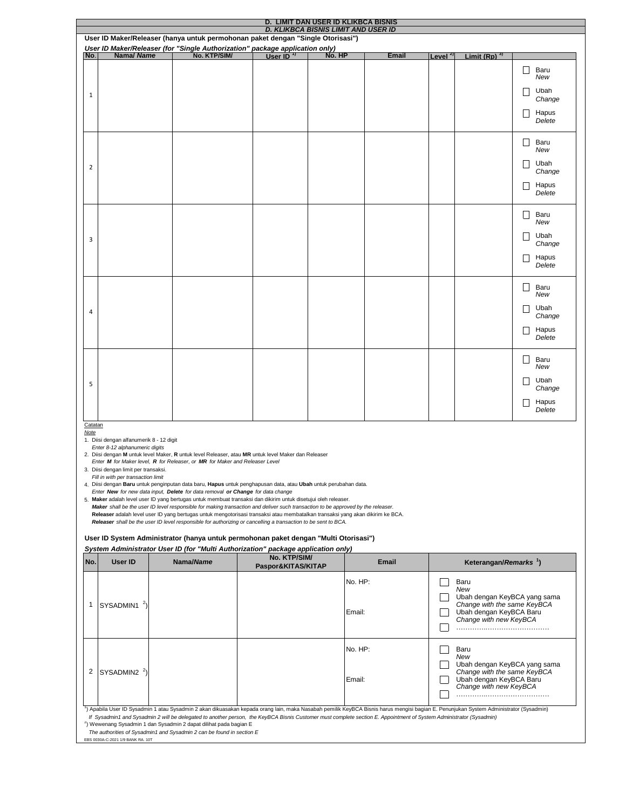|                        |                                                                                                                                                          |                                                                                                                                                                                                                                                                                                                                                                                                                                                                                                                                                                                                                                                                                                                                                                                                                                                                                                                                                                                                                                                                                 |                                    | D. LIMIT DAN USER ID KLIKBCA BISNIS<br><b>D. KLIKBCA BISNIS LIMIT AND USER ID</b> |              |                     |                                                                                                                                 |                                                                                                    |
|------------------------|----------------------------------------------------------------------------------------------------------------------------------------------------------|---------------------------------------------------------------------------------------------------------------------------------------------------------------------------------------------------------------------------------------------------------------------------------------------------------------------------------------------------------------------------------------------------------------------------------------------------------------------------------------------------------------------------------------------------------------------------------------------------------------------------------------------------------------------------------------------------------------------------------------------------------------------------------------------------------------------------------------------------------------------------------------------------------------------------------------------------------------------------------------------------------------------------------------------------------------------------------|------------------------------------|-----------------------------------------------------------------------------------|--------------|---------------------|---------------------------------------------------------------------------------------------------------------------------------|----------------------------------------------------------------------------------------------------|
|                        |                                                                                                                                                          | User ID Maker/Releaser (hanya untuk permohonan paket dengan "Single Otorisasi")<br>User ID Maker/Releaser (for "Single Authorization" package application only)                                                                                                                                                                                                                                                                                                                                                                                                                                                                                                                                                                                                                                                                                                                                                                                                                                                                                                                 |                                    |                                                                                   |              |                     |                                                                                                                                 |                                                                                                    |
| No.                    | Nama/ Name                                                                                                                                               | No. KTP/SIM/                                                                                                                                                                                                                                                                                                                                                                                                                                                                                                                                                                                                                                                                                                                                                                                                                                                                                                                                                                                                                                                                    | User ID $1$                        | No. HP                                                                            | <b>Email</b> | Level <sup>21</sup> | Limit $(Rp)$ <sup>3)</sup>                                                                                                      |                                                                                                    |
| 1                      |                                                                                                                                                          |                                                                                                                                                                                                                                                                                                                                                                                                                                                                                                                                                                                                                                                                                                                                                                                                                                                                                                                                                                                                                                                                                 |                                    |                                                                                   |              |                     |                                                                                                                                 | Baru<br>$\mathbf{I}$<br>New<br>Ubah<br>l 1<br>Change<br>Hapus<br>$\mathsf{I}$<br>Delete            |
| 2                      |                                                                                                                                                          |                                                                                                                                                                                                                                                                                                                                                                                                                                                                                                                                                                                                                                                                                                                                                                                                                                                                                                                                                                                                                                                                                 |                                    |                                                                                   |              |                     |                                                                                                                                 | Ш<br>Baru<br>New<br>Ubah<br>l 1<br>Change<br>Hapus<br>$\mathbf{I}$<br>Delete                       |
| 3                      |                                                                                                                                                          |                                                                                                                                                                                                                                                                                                                                                                                                                                                                                                                                                                                                                                                                                                                                                                                                                                                                                                                                                                                                                                                                                 |                                    |                                                                                   |              |                     |                                                                                                                                 | Baru<br>$\blacksquare$<br>New<br>Ubah<br>$\mathsf{L}$<br>Change<br>Hapus<br>$\mathsf{L}$<br>Delete |
| 4                      |                                                                                                                                                          |                                                                                                                                                                                                                                                                                                                                                                                                                                                                                                                                                                                                                                                                                                                                                                                                                                                                                                                                                                                                                                                                                 |                                    |                                                                                   |              |                     |                                                                                                                                 | Baru<br>$\mathsf{L}$<br>New<br>Ubah<br>$\mathbf{I}$<br>Change<br>Hapus<br>l 1<br>Delete            |
| 5                      |                                                                                                                                                          |                                                                                                                                                                                                                                                                                                                                                                                                                                                                                                                                                                                                                                                                                                                                                                                                                                                                                                                                                                                                                                                                                 |                                    |                                                                                   |              |                     |                                                                                                                                 | $\mathbf{I}$<br>Baru<br>New<br>Ubah<br>$\mathsf{I}$<br>Change<br>Hapus<br>$\mathbf{I}$<br>Delete   |
| Catatan<br><b>Note</b> | 1. Diisi dengan alfanumerik 8 - 12 digit<br>Enter 8-12 alphanumeric digits<br>3. Diisi dengan limit per transaksi.<br>Fill in with per transaction limit | 2. Diisi dengan M untuk level Maker, R untuk level Releaser, atau MR untuk level Maker dan Releaser<br>Enter M for Maker level, R for Releaser, or MR for Maker and Releaser Level<br>4. Diisi dengan Baru untuk penginputan data baru, Hapus untuk penghapusan data, atau Ubah untuk perubahan data.<br>Enter New for new data input, Delete for data removal or Change for data change<br>5. Maker adalah level user ID yang bertugas untuk membuat transaksi dan dikirim untuk disetujui oleh releaser.<br>Maker shall be the user ID level responsible for making transaction and deliver such transaction to be approved by the releaser.<br>Releaser adalah level user ID yang bertugas untuk mengotorisasi transaksi atau membatalkan transaksi yang akan dikirim ke BCA.<br>Releaser shall be the user ID level responsible for authorizing or cancelling a transaction to be sent to BCA.<br>User ID System Administrator (hanya untuk permohonan paket dengan "Multi Otorisasi")<br>System Administrator User ID (for "Multi Authorization" package application only) |                                    |                                                                                   |              |                     |                                                                                                                                 |                                                                                                    |
| No.                    | User ID                                                                                                                                                  | Nama/Name                                                                                                                                                                                                                                                                                                                                                                                                                                                                                                                                                                                                                                                                                                                                                                                                                                                                                                                                                                                                                                                                       | No. KTP/SIM/<br>Paspor&KITAS/KITAP |                                                                                   | <b>Email</b> |                     | Keterangan/Remarks <sup>1</sup> )                                                                                               |                                                                                                    |
| 1                      | SYSADMIN1 $^{2}$ )                                                                                                                                       |                                                                                                                                                                                                                                                                                                                                                                                                                                                                                                                                                                                                                                                                                                                                                                                                                                                                                                                                                                                                                                                                                 |                                    | No. HP:<br>Email:                                                                 |              |                     | Baru<br>New<br>Ubah dengan KeyBCA yang sama<br>Change with the same KeyBCA<br>Ubah dengan KeyBCA Baru<br>Change with new KeyBCA |                                                                                                    |
| 2                      | SYSADMIN2 <sup>2</sup> )                                                                                                                                 |                                                                                                                                                                                                                                                                                                                                                                                                                                                                                                                                                                                                                                                                                                                                                                                                                                                                                                                                                                                                                                                                                 |                                    | No. HP:<br>Email:                                                                 |              |                     | Baru<br>New<br>Ubah dengan KeyBCA yang sama<br>Change with the same KeyBCA<br>Ubah dengan KeyBCA Baru<br>Change with new KeyBCA |                                                                                                    |
|                        |                                                                                                                                                          | 1) Apabila User ID Sysadmin 1 atau Sysadmin 2 akan dikuasakan kepada orang lain, maka Nasabah pemilik KeyBCA Bisnis harus mengisi bagian E. Penunjukan System Administrator (Sysadmin)<br>If Sysadmin1 and Sysadmin 2 will be delegated to another person, the KeyBCA Bisnis Customer must complete section E. Appointment of System Administrator (Sysadmin)<br><sup>2</sup> ) Wewenang Sysadmin 1 dan Sysadmin 2 dapat dilihat pada bagian E                                                                                                                                                                                                                                                                                                                                                                                                                                                                                                                                                                                                                                  |                                    |                                                                                   |              |                     |                                                                                                                                 |                                                                                                    |

 *The authorities of Sysadmin1 and Sysadmin 2 can be found in section E*

EBS 0030A-C-2021 1/9 BANK RA. 10T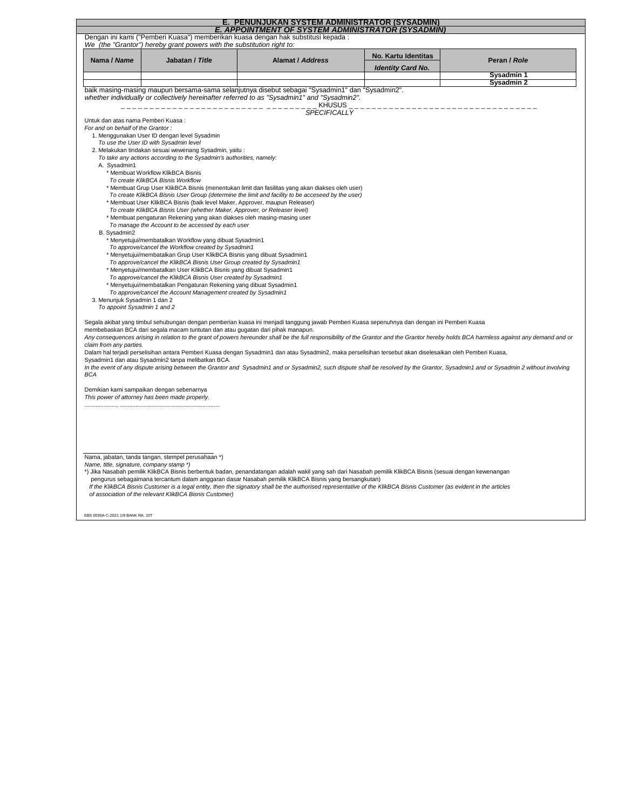|                                                                                                                                                                        | E.  PENUNJUKAN SYSTEM ADMINISTRATOR (SYSADMIN)                                                                                                                                                                                                                                                                                                                                                                                                                                                                                                                                                                                                                                                                                                                                                                                                                                                                                                                                                                                                                                                                                                      |                                                                                                                                                                                                      |                          |                                                                                                                                                                                           |
|------------------------------------------------------------------------------------------------------------------------------------------------------------------------|-----------------------------------------------------------------------------------------------------------------------------------------------------------------------------------------------------------------------------------------------------------------------------------------------------------------------------------------------------------------------------------------------------------------------------------------------------------------------------------------------------------------------------------------------------------------------------------------------------------------------------------------------------------------------------------------------------------------------------------------------------------------------------------------------------------------------------------------------------------------------------------------------------------------------------------------------------------------------------------------------------------------------------------------------------------------------------------------------------------------------------------------------------|------------------------------------------------------------------------------------------------------------------------------------------------------------------------------------------------------|--------------------------|-------------------------------------------------------------------------------------------------------------------------------------------------------------------------------------------|
|                                                                                                                                                                        |                                                                                                                                                                                                                                                                                                                                                                                                                                                                                                                                                                                                                                                                                                                                                                                                                                                                                                                                                                                                                                                                                                                                                     | E. APPOINTMENT OF SYSTEM ADMINISTRATOR (SYSADMIN<br>Dengan ini kami ("Pemberi Kuasa") memberikan kuasa dengan hak substitusi kepada :                                                                |                          |                                                                                                                                                                                           |
|                                                                                                                                                                        | We (the "Grantor") hereby grant powers with the substitution right to:                                                                                                                                                                                                                                                                                                                                                                                                                                                                                                                                                                                                                                                                                                                                                                                                                                                                                                                                                                                                                                                                              |                                                                                                                                                                                                      |                          |                                                                                                                                                                                           |
| Nama / Name                                                                                                                                                            | Jabatan / Title                                                                                                                                                                                                                                                                                                                                                                                                                                                                                                                                                                                                                                                                                                                                                                                                                                                                                                                                                                                                                                                                                                                                     | <b>Alamat / Address</b>                                                                                                                                                                              | No. Kartu Identitas      | Peran / Role                                                                                                                                                                              |
|                                                                                                                                                                        |                                                                                                                                                                                                                                                                                                                                                                                                                                                                                                                                                                                                                                                                                                                                                                                                                                                                                                                                                                                                                                                                                                                                                     |                                                                                                                                                                                                      | <b>Identity Card No.</b> |                                                                                                                                                                                           |
|                                                                                                                                                                        |                                                                                                                                                                                                                                                                                                                                                                                                                                                                                                                                                                                                                                                                                                                                                                                                                                                                                                                                                                                                                                                                                                                                                     |                                                                                                                                                                                                      |                          | Sysadmin 1                                                                                                                                                                                |
|                                                                                                                                                                        |                                                                                                                                                                                                                                                                                                                                                                                                                                                                                                                                                                                                                                                                                                                                                                                                                                                                                                                                                                                                                                                                                                                                                     |                                                                                                                                                                                                      |                          | Sysadmin 2                                                                                                                                                                                |
|                                                                                                                                                                        |                                                                                                                                                                                                                                                                                                                                                                                                                                                                                                                                                                                                                                                                                                                                                                                                                                                                                                                                                                                                                                                                                                                                                     | baik masing-masing maupun bersama-sama selanjutnya disebut sebagai "Sysadmin1" dan "Sysadmin2".<br>whether individually or collectively hereinafter referred to as "Sysadmin1" and "Sysadmin2".      |                          |                                                                                                                                                                                           |
|                                                                                                                                                                        |                                                                                                                                                                                                                                                                                                                                                                                                                                                                                                                                                                                                                                                                                                                                                                                                                                                                                                                                                                                                                                                                                                                                                     |                                                                                                                                                                                                      |                          |                                                                                                                                                                                           |
|                                                                                                                                                                        |                                                                                                                                                                                                                                                                                                                                                                                                                                                                                                                                                                                                                                                                                                                                                                                                                                                                                                                                                                                                                                                                                                                                                     | <b>SPECIFICALLY</b>                                                                                                                                                                                  |                          |                                                                                                                                                                                           |
| Untuk dan atas nama Pemberi Kuasa:<br>For and on behalf of the Grantor:<br>A. Sysadmin1<br>B. Sysadmin2<br>3. Menunjuk Sysadmin 1 dan 2<br>To appoint Sysadmin 1 and 2 | 1. Menggunakan User ID dengan level Sysadmin<br>To use the User ID with Sysadmin level<br>2. Melakukan tindakan sesuai wewenang Sysadmin, yaitu:<br>To take any actions according to the Sysadmin's authorities, namely:<br>* Membuat Workflow KlikBCA Bisnis<br>To create KlikBCA Bisnis Workflow<br>* Membuat User KlikBCA Bisnis (baik level Maker, Approver, maupun Releaser)<br>To create KlikBCA Bisnis User (whether Maker, Approver, or Releaser level)<br>* Membuat pengaturan Rekening yang akan diakses oleh masing-masing user<br>To manage the Account to be accessed by each user<br>* Menyetujui/membatalkan Workflow yang dibuat Sysadmin1<br>To approve/cancel the Workflow created by Sysadmin1<br>* Menyetujui/membatalkan Grup User KlikBCA Bisnis yang dibuat Sysadmin1<br>To approve/cancel the KlikBCA Bisnis User Group created by Sysadmin1<br>* Menyetujui/membatalkan User KlikBCA Bisnis yang dibuat Sysadmin1<br>To approve/cancel the KlikBCA Bisnis User created by Sysadmin1<br>* Menyetujui/membatalkan Pengaturan Rekening yang dibuat Sysadmin1<br>To approve/cancel the Account Management created by Sysadmin1 | * Membuat Grup User KlikBCA Bisnis (menentukan limit dan fasilitas yang akan diakses oleh user)<br>To create KlikBCA Bisnis User Group (determine the limit and facility to be acceseed by the user) |                          |                                                                                                                                                                                           |
|                                                                                                                                                                        | membebaskan BCA dari segala macam tuntutan dan atau gugatan dari pihak manapun.                                                                                                                                                                                                                                                                                                                                                                                                                                                                                                                                                                                                                                                                                                                                                                                                                                                                                                                                                                                                                                                                     | Segala akibat yang timbul sehubungan dengan pemberian kuasa ini menjadi tanggung jawab Pemberi Kuasa sepenuhnya dan dengan ini Pemberi Kuasa                                                         |                          |                                                                                                                                                                                           |
| claim from any parties.                                                                                                                                                |                                                                                                                                                                                                                                                                                                                                                                                                                                                                                                                                                                                                                                                                                                                                                                                                                                                                                                                                                                                                                                                                                                                                                     |                                                                                                                                                                                                      |                          |                                                                                                                                                                                           |
|                                                                                                                                                                        |                                                                                                                                                                                                                                                                                                                                                                                                                                                                                                                                                                                                                                                                                                                                                                                                                                                                                                                                                                                                                                                                                                                                                     |                                                                                                                                                                                                      |                          | Any consequences arising in relation to the grant of powers hereunder shall be the full responsibility of the Grantor and the Grantor hereby holds BCA harmless against any demand and or |
|                                                                                                                                                                        |                                                                                                                                                                                                                                                                                                                                                                                                                                                                                                                                                                                                                                                                                                                                                                                                                                                                                                                                                                                                                                                                                                                                                     | Dalam hal terjadi perselisihan antara Pemberi Kuasa dengan Sysadmin1 dan atau Sysadmin2, maka perselisihan tersebut akan diselesaikan oleh Pemberi Kuasa,                                            |                          |                                                                                                                                                                                           |
|                                                                                                                                                                        | Sysadmin1 dan atau Sysadmin2 tanpa melibatkan BCA.                                                                                                                                                                                                                                                                                                                                                                                                                                                                                                                                                                                                                                                                                                                                                                                                                                                                                                                                                                                                                                                                                                  | In the event of any dispute arising between the Grantor and Sysadmin1 and or Sysadmin2, such dispute shall be resolved by the Grantor, Sysadmin1 and or Sysadmin 2 without involving                 |                          |                                                                                                                                                                                           |
| <b>BCA</b>                                                                                                                                                             |                                                                                                                                                                                                                                                                                                                                                                                                                                                                                                                                                                                                                                                                                                                                                                                                                                                                                                                                                                                                                                                                                                                                                     |                                                                                                                                                                                                      |                          |                                                                                                                                                                                           |
|                                                                                                                                                                        | Demikian kami sampaikan dengan sebenarnya                                                                                                                                                                                                                                                                                                                                                                                                                                                                                                                                                                                                                                                                                                                                                                                                                                                                                                                                                                                                                                                                                                           |                                                                                                                                                                                                      |                          |                                                                                                                                                                                           |
|                                                                                                                                                                        | This power of attorney has been made properly.                                                                                                                                                                                                                                                                                                                                                                                                                                                                                                                                                                                                                                                                                                                                                                                                                                                                                                                                                                                                                                                                                                      |                                                                                                                                                                                                      |                          |                                                                                                                                                                                           |
|                                                                                                                                                                        |                                                                                                                                                                                                                                                                                                                                                                                                                                                                                                                                                                                                                                                                                                                                                                                                                                                                                                                                                                                                                                                                                                                                                     |                                                                                                                                                                                                      |                          |                                                                                                                                                                                           |
|                                                                                                                                                                        |                                                                                                                                                                                                                                                                                                                                                                                                                                                                                                                                                                                                                                                                                                                                                                                                                                                                                                                                                                                                                                                                                                                                                     |                                                                                                                                                                                                      |                          |                                                                                                                                                                                           |
|                                                                                                                                                                        |                                                                                                                                                                                                                                                                                                                                                                                                                                                                                                                                                                                                                                                                                                                                                                                                                                                                                                                                                                                                                                                                                                                                                     |                                                                                                                                                                                                      |                          |                                                                                                                                                                                           |
|                                                                                                                                                                        |                                                                                                                                                                                                                                                                                                                                                                                                                                                                                                                                                                                                                                                                                                                                                                                                                                                                                                                                                                                                                                                                                                                                                     |                                                                                                                                                                                                      |                          |                                                                                                                                                                                           |
|                                                                                                                                                                        |                                                                                                                                                                                                                                                                                                                                                                                                                                                                                                                                                                                                                                                                                                                                                                                                                                                                                                                                                                                                                                                                                                                                                     |                                                                                                                                                                                                      |                          |                                                                                                                                                                                           |
| Name, title, signature, company stamp *)                                                                                                                               | Nama, jabatan, tanda tangan, stempel perusahaan *)                                                                                                                                                                                                                                                                                                                                                                                                                                                                                                                                                                                                                                                                                                                                                                                                                                                                                                                                                                                                                                                                                                  |                                                                                                                                                                                                      |                          |                                                                                                                                                                                           |

\*) Jika Nasabah pemilik KlikBCA Bisnis berbentuk badan, penandatangan adalah wakil yang sah dari Nasabah pemilik KlikBCA Bisnis (sesuai dengan kewenangan<br>pengurus sebagaimana tercantum dalam anggaran dasar Nasabah pemilik

EBS 0030A-C-2021 1/9 BANK RA. 10T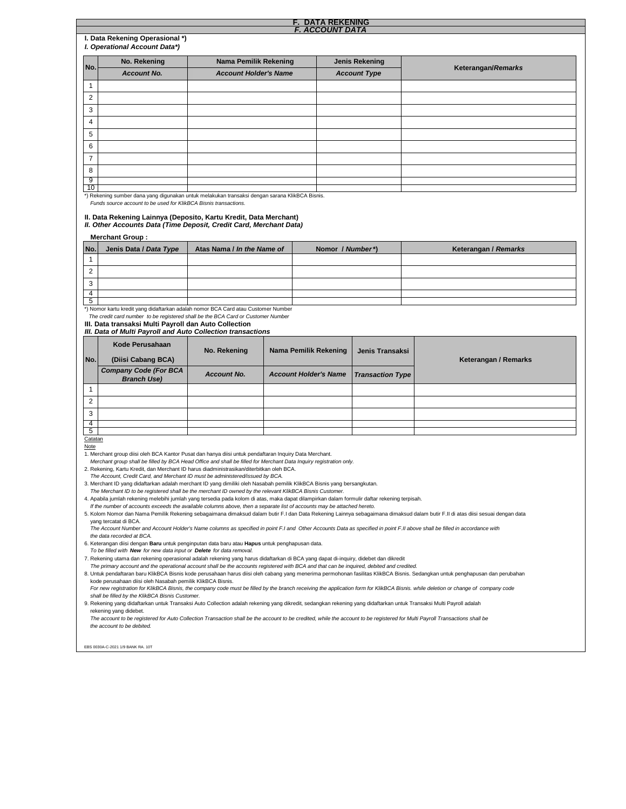|                |                                                                                                                                                                                                                                     |                              | <b>F. DATA REKENING</b><br>F. ACCOUNT DATA |                         |                                                                                                                                                                                    |
|----------------|-------------------------------------------------------------------------------------------------------------------------------------------------------------------------------------------------------------------------------------|------------------------------|--------------------------------------------|-------------------------|------------------------------------------------------------------------------------------------------------------------------------------------------------------------------------|
|                | I. Data Rekening Operasional *)                                                                                                                                                                                                     |                              |                                            |                         |                                                                                                                                                                                    |
|                | I. Operational Account Data*)                                                                                                                                                                                                       |                              |                                            |                         |                                                                                                                                                                                    |
|                |                                                                                                                                                                                                                                     |                              |                                            |                         |                                                                                                                                                                                    |
| No.            | No. Rekening                                                                                                                                                                                                                        | Nama Pemilik Rekening        |                                            | Jenis Rekening          | Keterangan/Remarks                                                                                                                                                                 |
|                | <b>Account No.</b>                                                                                                                                                                                                                  | <b>Account Holder's Name</b> |                                            | <b>Account Type</b>     |                                                                                                                                                                                    |
| 1              |                                                                                                                                                                                                                                     |                              |                                            |                         |                                                                                                                                                                                    |
| $\overline{2}$ |                                                                                                                                                                                                                                     |                              |                                            |                         |                                                                                                                                                                                    |
| 3              |                                                                                                                                                                                                                                     |                              |                                            |                         |                                                                                                                                                                                    |
|                |                                                                                                                                                                                                                                     |                              |                                            |                         |                                                                                                                                                                                    |
| 4              |                                                                                                                                                                                                                                     |                              |                                            |                         |                                                                                                                                                                                    |
| 5              |                                                                                                                                                                                                                                     |                              |                                            |                         |                                                                                                                                                                                    |
| 6              |                                                                                                                                                                                                                                     |                              |                                            |                         |                                                                                                                                                                                    |
| 7              |                                                                                                                                                                                                                                     |                              |                                            |                         |                                                                                                                                                                                    |
| 8              |                                                                                                                                                                                                                                     |                              |                                            |                         |                                                                                                                                                                                    |
| 9              |                                                                                                                                                                                                                                     |                              |                                            |                         |                                                                                                                                                                                    |
| 10             |                                                                                                                                                                                                                                     |                              |                                            |                         |                                                                                                                                                                                    |
|                | *) Rekening sumber dana yang digunakan untuk melakukan transaksi dengan sarana KlikBCA Bisnis.                                                                                                                                      |                              |                                            |                         |                                                                                                                                                                                    |
|                | Funds source account to be used for KlikBCA Bisnis transactions.                                                                                                                                                                    |                              |                                            |                         |                                                                                                                                                                                    |
|                | II. Data Rekening Lainnya (Deposito, Kartu Kredit, Data Merchant)                                                                                                                                                                   |                              |                                            |                         |                                                                                                                                                                                    |
|                | II. Other Accounts Data (Time Deposit, Credit Card, Merchant Data)                                                                                                                                                                  |                              |                                            |                         |                                                                                                                                                                                    |
|                | <b>Merchant Group:</b>                                                                                                                                                                                                              |                              |                                            |                         |                                                                                                                                                                                    |
| No.            | Jenis Data / Data Type                                                                                                                                                                                                              | Atas Nama / In the Name of   | Nomor / Number*)                           |                         | Keterangan / Remarks                                                                                                                                                               |
| $\mathbf{1}$   |                                                                                                                                                                                                                                     |                              |                                            |                         |                                                                                                                                                                                    |
| 2              |                                                                                                                                                                                                                                     |                              |                                            |                         |                                                                                                                                                                                    |
|                |                                                                                                                                                                                                                                     |                              |                                            |                         |                                                                                                                                                                                    |
| 3              |                                                                                                                                                                                                                                     |                              |                                            |                         |                                                                                                                                                                                    |
| 4<br>5         |                                                                                                                                                                                                                                     |                              |                                            |                         |                                                                                                                                                                                    |
|                | *) Nomor kartu kredit yang didaftarkan adalah nomor BCA Card atau Customer Number                                                                                                                                                   |                              |                                            |                         |                                                                                                                                                                                    |
|                | The credit card number to be registered shall be the BCA Card or Customer Number                                                                                                                                                    |                              |                                            |                         |                                                                                                                                                                                    |
|                | III. Data transaksi Multi Payroll dan Auto Collection<br>III. Data of Multi Payroll and Auto Collection transactions                                                                                                                |                              |                                            |                         |                                                                                                                                                                                    |
|                |                                                                                                                                                                                                                                     |                              |                                            |                         |                                                                                                                                                                                    |
|                |                                                                                                                                                                                                                                     |                              |                                            |                         |                                                                                                                                                                                    |
|                | Kode Perusahaan                                                                                                                                                                                                                     |                              |                                            |                         |                                                                                                                                                                                    |
| No.            | (Diisi Cabang BCA)                                                                                                                                                                                                                  | No. Rekening                 | <b>Nama Pemilik Rekening</b>               | Jenis Transaksi         | Keterangan / Remarks                                                                                                                                                               |
|                |                                                                                                                                                                                                                                     |                              |                                            |                         |                                                                                                                                                                                    |
|                | <b>Company Code (For BCA</b><br><b>Branch Use)</b>                                                                                                                                                                                  | <b>Account No.</b>           | <b>Account Holder's Name</b>               | <b>Transaction Type</b> |                                                                                                                                                                                    |
| 1              |                                                                                                                                                                                                                                     |                              |                                            |                         |                                                                                                                                                                                    |
|                |                                                                                                                                                                                                                                     |                              |                                            |                         |                                                                                                                                                                                    |
| 2              |                                                                                                                                                                                                                                     |                              |                                            |                         |                                                                                                                                                                                    |
| 3              |                                                                                                                                                                                                                                     |                              |                                            |                         |                                                                                                                                                                                    |
| 4              |                                                                                                                                                                                                                                     |                              |                                            |                         |                                                                                                                                                                                    |
| 5<br>Catatan   |                                                                                                                                                                                                                                     |                              |                                            |                         |                                                                                                                                                                                    |
| <b>Note</b>    |                                                                                                                                                                                                                                     |                              |                                            |                         |                                                                                                                                                                                    |
|                | 1. Merchant group diisi oleh BCA Kantor Pusat dan hanya diisi untuk pendaftaran Inquiry Data Merchant.                                                                                                                              |                              |                                            |                         |                                                                                                                                                                                    |
|                | Merchant group shall be filled by BCA Head Office and shall be filled for Merchant Data Inquiry registration only.<br>2. Rekening, Kartu Kredit, dan Merchant ID harus diadministrasikan/diterbitkan oleh BCA.                      |                              |                                            |                         |                                                                                                                                                                                    |
|                | The Account, Credit Card, and Merchant ID must be administered/issued by BCA.                                                                                                                                                       |                              |                                            |                         |                                                                                                                                                                                    |
|                | 3. Merchant ID yang didaftarkan adalah merchant ID yang dimiliki oleh Nasabah pemilik KlikBCA Bisnis yang bersangkutan.<br>The Merchant ID to be registered shall be the merchant ID owned by the relevant KlikBCA Bisnis Customer. |                              |                                            |                         |                                                                                                                                                                                    |
|                | 4. Apabila jumlah rekening melebihi jumlah yang tersedia pada kolom di atas, maka dapat dilampirkan dalam formulir daftar rekening terpisah.                                                                                        |                              |                                            |                         |                                                                                                                                                                                    |
|                | If the number of accounts exceeds the available columns above, then a separate list of accounts may be attached hereto.                                                                                                             |                              |                                            |                         |                                                                                                                                                                                    |
|                | yang tercatat di BCA.                                                                                                                                                                                                               |                              |                                            |                         | 5. Kolom Nomor dan Nama Pemilik Rekening sebagaimana dimaksud dalam butir F.I dan Data Rekening Lainnya sebagaimana dimaksud dalam butir F.II di atas diisi sesuai dengan data     |
|                |                                                                                                                                                                                                                                     |                              |                                            |                         | The Account Number and Account Holder's Name columns as specified in point F.I and Other Accounts Data as specified in point F.II above shall be filled in accordance with         |
|                | the data recorded at BCA.                                                                                                                                                                                                           |                              |                                            |                         |                                                                                                                                                                                    |
|                | 6. Keterangan diisi dengan Baru untuk penginputan data baru atau Hapus untuk penghapusan data.                                                                                                                                      |                              |                                            |                         |                                                                                                                                                                                    |
|                | To be filled with New for new data input or Delete for data removal.<br>7. Rekening utama dan rekening operasional adalah rekening yang harus didaftarkan di BCA yang dapat di-inquiry, didebet dan dikredit                        |                              |                                            |                         |                                                                                                                                                                                    |
|                | The primary account and the operational account shall be the accounts registered with BCA and that can be inquired, debited and credited.                                                                                           |                              |                                            |                         |                                                                                                                                                                                    |
|                |                                                                                                                                                                                                                                     |                              |                                            |                         | 8. Untuk pendaftaran baru KlikBCA Bisnis kode perusahaan harus diisi oleh cabang yang menerima permohonan fasilitas KlikBCA Bisnis. Sedangkan untuk penghapusan dan perubahan      |
|                | kode perusahaan diisi oleh Nasabah pemilik KlikBCA Bisnis.                                                                                                                                                                          |                              |                                            |                         | For new registration for KlikBCA Bisnis, the company code must be filled by the branch receiving the application form for KlikBCA Bisnis. while deletion or change of company code |
|                | shall be filled by the KlikBCA Bisnis Customer.                                                                                                                                                                                     |                              |                                            |                         |                                                                                                                                                                                    |
|                | 9. Rekening yang didaftarkan untuk Transaksi Auto Collection adalah rekening yang dikredit, sedangkan rekening yang didaftarkan untuk Transaksi Multi Payroll adalah                                                                |                              |                                            |                         |                                                                                                                                                                                    |
|                | rekening yang didebet.                                                                                                                                                                                                              |                              |                                            |                         |                                                                                                                                                                                    |
|                | The account to be registered for Auto Collection Transaction shall be the account to be credited, while the account to be registered for Multi Payroll Transactions shall be<br>the account to be debited.                          |                              |                                            |                         |                                                                                                                                                                                    |
|                |                                                                                                                                                                                                                                     |                              |                                            |                         |                                                                                                                                                                                    |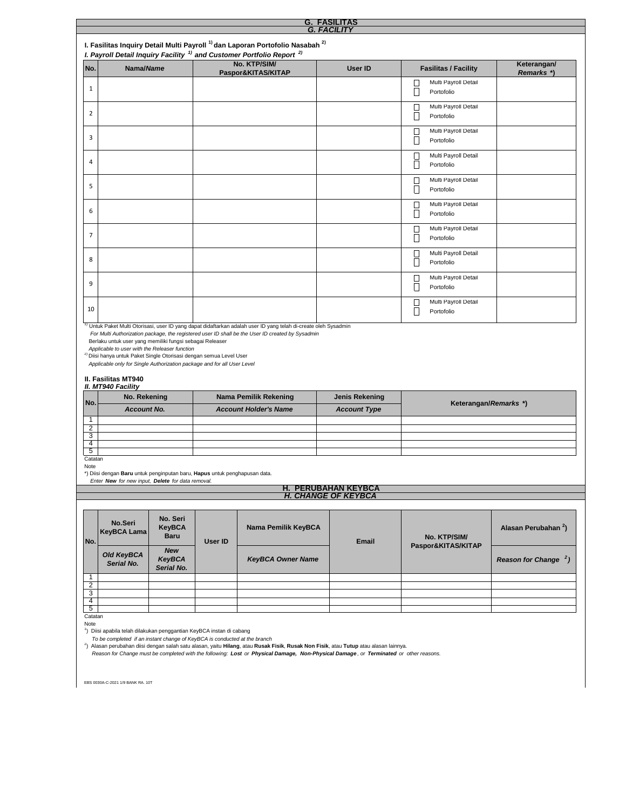|                |           |                                                                                                                                                                                                      | <b>G. FASILITAS</b><br><b>G. FACILITY</b> |                                                                                  |                           |
|----------------|-----------|------------------------------------------------------------------------------------------------------------------------------------------------------------------------------------------------------|-------------------------------------------|----------------------------------------------------------------------------------|---------------------------|
|                |           |                                                                                                                                                                                                      |                                           |                                                                                  |                           |
|                |           | I. Fasilitas Inquiry Detail Multi Payroll <sup>1)</sup> dan Laporan Portofolio Nasabah <sup>2)</sup><br>I. Payroll Detail Inquiry Facility <sup>1)</sup> and Customer Portfolio Report <sup>2)</sup> |                                           |                                                                                  |                           |
| No.            | Nama/Name | No. KTP/SIM/<br>Paspor&KITAS/KITAP                                                                                                                                                                   | <b>User ID</b>                            | <b>Fasilitas / Facility</b>                                                      | Keterangan/<br>Remarks *) |
| $\mathbf{1}$   |           |                                                                                                                                                                                                      |                                           | Multi Payroll Detail<br>□<br>П<br>Portofolio                                     |                           |
| $\overline{2}$ |           |                                                                                                                                                                                                      |                                           | Multi Payroll Detail<br>□<br>П<br>Portofolio                                     |                           |
| 3              |           |                                                                                                                                                                                                      |                                           | Multi Payroll Detail<br>□<br>П<br>Portofolio                                     |                           |
| 4              |           |                                                                                                                                                                                                      |                                           | Multi Payroll Detail<br>П<br>П<br>Portofolio                                     |                           |
| 5              |           |                                                                                                                                                                                                      |                                           | Multi Payroll Detail<br>П<br>П<br>Portofolio                                     |                           |
| 6              |           |                                                                                                                                                                                                      |                                           | Multi Payroll Detail<br>□<br>П<br>Portofolio                                     |                           |
| $\overline{7}$ |           |                                                                                                                                                                                                      |                                           | Multi Payroll Detail<br>П<br>П<br>Portofolio                                     |                           |
| 8              |           |                                                                                                                                                                                                      |                                           | Multi Payroll Detail<br>□<br>П<br>Portofolio                                     |                           |
| 9              |           |                                                                                                                                                                                                      |                                           | Multi Payroll Detail<br>□<br>П<br>Portofolio                                     |                           |
| 10             |           |                                                                                                                                                                                                      |                                           | Multi Payroll Detail<br>$\overline{\phantom{a}}$<br>$\overline{a}$<br>Portofolio |                           |

<sup>1)</sup> Untuk Paket Multi Otorisasi, user ID yang dapat didaftarkan adalah user ID yang telah di-create oleh Sysadmin

 *For Multi Authorization package, the registered user ID shall be the User ID created by Sysadmin* Berlaku untuk user yang memiliki fungsi sebagai Releaser

Applicable to user with the Releaser function<br><sup>2)</sup> Diisi hanya untuk Paket Single Otorisasi dengan semua Level User

 *Applicable only for Single Authorization package and for all User Level*

## **II. Fasilitas MT940**

*II. MT940 Facility*

| No.          | No. Rekening       | <b>Nama Pemilik Rekening</b> | <b>Jenis Rekening</b> | Keterangan/Remarks *) |
|--------------|--------------------|------------------------------|-----------------------|-----------------------|
|              | <b>Account No.</b> | <b>Account Holder's Name</b> | <b>Account Type</b>   |                       |
|              |                    |                              |                       |                       |
|              |                    |                              |                       |                       |
|              |                    |                              |                       |                       |
| $\mathbf{A}$ |                    |                              |                       |                       |
|              |                    |                              |                       |                       |
| Catatan      |                    |                              |                       |                       |

Note

\*) Diisi dengan **Baru** untuk penginputan baru, **Hapus** untuk penghapusan data.  *Enter New for new input, Delete for data removal.*

## **H. PERUBAHAN KEYBCA** *H. CHANGE OF KEYBCA*

| No.     | No.Seri<br><b>KeyBCA Lama</b>   | No. Seri<br><b>KeyBCA</b><br><b>Baru</b>  | User ID | Nama Pemilik KeyBCA      | <b>Email</b> | No. KTP/SIM/<br>Paspor&KITAS/KITAP | Alasan Perubahan <sup>2</sup> )            |
|---------|---------------------------------|-------------------------------------------|---------|--------------------------|--------------|------------------------------------|--------------------------------------------|
|         | <b>Old KeyBCA</b><br>Serial No. | <b>New</b><br><b>KeyBCA</b><br>Serial No. |         | <b>KeyBCA Owner Name</b> |              |                                    | 2 <sub>1</sub><br><b>Reason for Change</b> |
|         |                                 |                                           |         |                          |              |                                    |                                            |
| ◠       |                                 |                                           |         |                          |              |                                    |                                            |
| 3       |                                 |                                           |         |                          |              |                                    |                                            |
| 4       |                                 |                                           |         |                          |              |                                    |                                            |
| 5       |                                 |                                           |         |                          |              |                                    |                                            |
| Catatan |                                 |                                           |         |                          |              |                                    |                                            |

Note

<sup>1</sup>) Diisi apabila telah dilakukan penggantian KeyBCA instan di cabang

*To be completed if an instant change of KeyBCA is conducted at the branch*

<sup>2</sup>) Alasan perubahan diisi dengan salah satu alasan, yaitu **Hilang,** atau R**usak Fisik, Rusak Non Fisik**, atau Tutup atau alasan lainnya.<br>Reason for Change must be completed with the following: Lost or Physical Damage, No

EBS 0030A-C-2021 1/9 BANK RA. 10T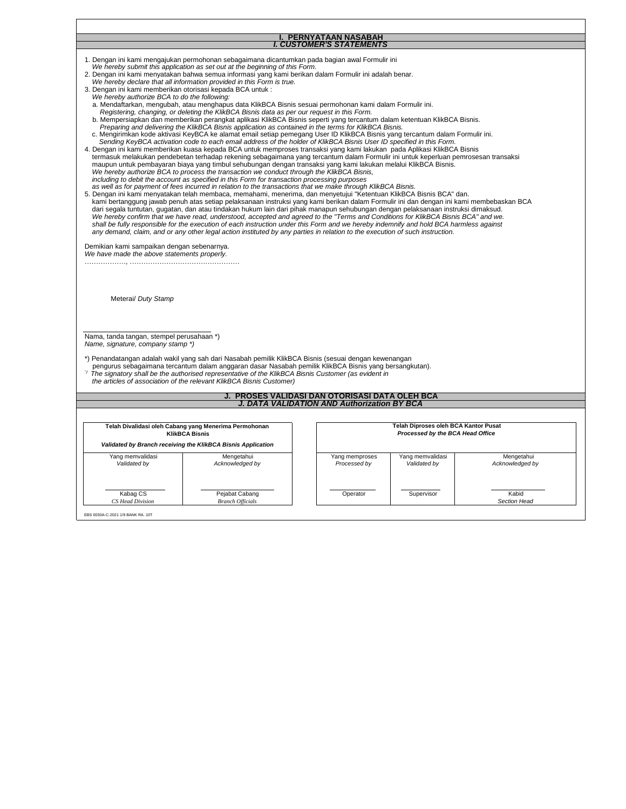|                                                                                                           |                                                                                                                                                                                                                                                                                                                                                                                                                                                                                                                                                                                                                                                                                                                                                                                                                                                                                                                                                                                                                                                                                                                                                                                                                                                                                                                                                                                                                                                                                                                                                                                                                                                                                                                                                                                                                                                                                                                                                                                                                                                                                                                                                                                                                                                                                                                                                                                                                                                                                                                                                                                                 | <b>PERNYATAAN NASABAH</b>                      |                                                                          |                 |
|-----------------------------------------------------------------------------------------------------------|-------------------------------------------------------------------------------------------------------------------------------------------------------------------------------------------------------------------------------------------------------------------------------------------------------------------------------------------------------------------------------------------------------------------------------------------------------------------------------------------------------------------------------------------------------------------------------------------------------------------------------------------------------------------------------------------------------------------------------------------------------------------------------------------------------------------------------------------------------------------------------------------------------------------------------------------------------------------------------------------------------------------------------------------------------------------------------------------------------------------------------------------------------------------------------------------------------------------------------------------------------------------------------------------------------------------------------------------------------------------------------------------------------------------------------------------------------------------------------------------------------------------------------------------------------------------------------------------------------------------------------------------------------------------------------------------------------------------------------------------------------------------------------------------------------------------------------------------------------------------------------------------------------------------------------------------------------------------------------------------------------------------------------------------------------------------------------------------------------------------------------------------------------------------------------------------------------------------------------------------------------------------------------------------------------------------------------------------------------------------------------------------------------------------------------------------------------------------------------------------------------------------------------------------------------------------------------------------------|------------------------------------------------|--------------------------------------------------------------------------|-----------------|
|                                                                                                           |                                                                                                                                                                                                                                                                                                                                                                                                                                                                                                                                                                                                                                                                                                                                                                                                                                                                                                                                                                                                                                                                                                                                                                                                                                                                                                                                                                                                                                                                                                                                                                                                                                                                                                                                                                                                                                                                                                                                                                                                                                                                                                                                                                                                                                                                                                                                                                                                                                                                                                                                                                                                 | <b>I. CUSTOMER'S STATEMENTS</b>                |                                                                          |                 |
| 3. Dengan ini kami memberikan otorisasi kepada BCA untuk:<br>We hereby authorize BCA to do the following: | 1. Dengan ini kami mengajukan permohonan sebagaimana dicantumkan pada bagian awal Formulir ini<br>We hereby submit this application as set out at the beginning of this Form.<br>2. Dengan ini kami menyatakan bahwa semua informasi yang kami berikan dalam Formulir ini adalah benar.<br>We hereby declare that all information provided in this Form is true.<br>a. Mendaftarkan, mengubah, atau menghapus data KlikBCA Bisnis sesuai permohonan kami dalam Formulir ini.<br>Registering, changing, or deleting the KlikBCA Bisnis data as per our request in this Form.<br>b. Mempersiapkan dan memberikan perangkat aplikasi KlikBCA Bisnis seperti yang tercantum dalam ketentuan KlikBCA Bisnis.<br>Preparing and delivering the KlikBCA Bisnis application as contained in the terms for KlikBCA Bisnis.<br>c. Mengirimkan kode aktivasi KeyBCA ke alamat email setiap pemegang User ID KlikBCA Bisnis yang tercantum dalam Formulir ini.<br>Sending KeyBCA activation code to each email address of the holder of KlikBCA Bisnis User ID specified in this Form.<br>4. Dengan ini kami memberikan kuasa kepada BCA untuk memproses transaksi yang kami lakukan pada Aplikasi KlikBCA Bisnis<br>termasuk melakukan pendebetan terhadap rekening sebagaimana yang tercantum dalam Formulir ini untuk keperluan pemrosesan transaksi<br>maupun untuk pembayaran biaya yang timbul sehubungan dengan transaksi yang kami lakukan melalui KlikBCA Bisnis.<br>We hereby authorize BCA to process the transaction we conduct through the KlikBCA Bisnis,<br>including to debit the account as specified in this Form for transaction processing purposes<br>as well as for payment of fees incurred in relation to the transactions that we make through KlikBCA Bisnis.<br>5. Dengan ini kami menyatakan telah membaca, memahami, menerima, dan menyetujui "Ketentuan KlikBCA Bisnis BCA" dan.<br>kami bertanggung jawab penuh atas setiap pelaksanaan instruksi yang kami berikan dalam Formulir ini dan dengan ini kami membebaskan BCA<br>dari segala tuntutan, gugatan, dan atau tindakan hukum lain dari pihak manapun sehubungan dengan pelaksanaan instruksi dimaksud.<br>We hereby confirm that we have read, understood, accepted and agreed to the "Terms and Conditions for KlikBCA Bisnis BCA" and we.<br>shall be fully responsible for the execution of each instruction under this Form and we hereby indemnify and hold BCA harmless against<br>any demand, claim, and or any other legal action instituted by any parties in relation to the execution of such instruction. |                                                |                                                                          |                 |
| We have made the above statements properly.<br>Meterai/ Duty Stamp                                        |                                                                                                                                                                                                                                                                                                                                                                                                                                                                                                                                                                                                                                                                                                                                                                                                                                                                                                                                                                                                                                                                                                                                                                                                                                                                                                                                                                                                                                                                                                                                                                                                                                                                                                                                                                                                                                                                                                                                                                                                                                                                                                                                                                                                                                                                                                                                                                                                                                                                                                                                                                                                 |                                                |                                                                          |                 |
| Nama, tanda tangan, stempel perusahaan *)<br>Name, signature, company stamp *)                            |                                                                                                                                                                                                                                                                                                                                                                                                                                                                                                                                                                                                                                                                                                                                                                                                                                                                                                                                                                                                                                                                                                                                                                                                                                                                                                                                                                                                                                                                                                                                                                                                                                                                                                                                                                                                                                                                                                                                                                                                                                                                                                                                                                                                                                                                                                                                                                                                                                                                                                                                                                                                 |                                                |                                                                          |                 |
|                                                                                                           | *) Penandatangan adalah wakil yang sah dari Nasabah pemilik KlikBCA Bisnis (sesuai dengan kewenangan<br>pengurus sebagaimana tercantum dalam anggaran dasar Nasabah pemilik KlikBCA Bisnis yang bersangkutan).<br>The signatory shall be the authorised representative of the KlikBCA Bisnis Customer (as evident in<br>the articles of association of the relevant KlikBCA Bisnis Customer)                                                                                                                                                                                                                                                                                                                                                                                                                                                                                                                                                                                                                                                                                                                                                                                                                                                                                                                                                                                                                                                                                                                                                                                                                                                                                                                                                                                                                                                                                                                                                                                                                                                                                                                                                                                                                                                                                                                                                                                                                                                                                                                                                                                                    |                                                |                                                                          |                 |
|                                                                                                           |                                                                                                                                                                                                                                                                                                                                                                                                                                                                                                                                                                                                                                                                                                                                                                                                                                                                                                                                                                                                                                                                                                                                                                                                                                                                                                                                                                                                                                                                                                                                                                                                                                                                                                                                                                                                                                                                                                                                                                                                                                                                                                                                                                                                                                                                                                                                                                                                                                                                                                                                                                                                 | J. PROSES VALIDASI DAN OTORISASI DATA OLEH BCA |                                                                          |                 |
|                                                                                                           |                                                                                                                                                                                                                                                                                                                                                                                                                                                                                                                                                                                                                                                                                                                                                                                                                                                                                                                                                                                                                                                                                                                                                                                                                                                                                                                                                                                                                                                                                                                                                                                                                                                                                                                                                                                                                                                                                                                                                                                                                                                                                                                                                                                                                                                                                                                                                                                                                                                                                                                                                                                                 | J. DATA VALIDATION AND Authorization BY BCA    |                                                                          |                 |
|                                                                                                           | Telah Divalidasi oleh Cabang yang Menerima Permohonan<br><b>KlikBCA Bisnis</b>                                                                                                                                                                                                                                                                                                                                                                                                                                                                                                                                                                                                                                                                                                                                                                                                                                                                                                                                                                                                                                                                                                                                                                                                                                                                                                                                                                                                                                                                                                                                                                                                                                                                                                                                                                                                                                                                                                                                                                                                                                                                                                                                                                                                                                                                                                                                                                                                                                                                                                                  |                                                | Telah Diproses oleh BCA Kantor Pusat<br>Processed by the BCA Head Office |                 |
|                                                                                                           | Validated by Branch receiving the KlikBCA Bisnis Application                                                                                                                                                                                                                                                                                                                                                                                                                                                                                                                                                                                                                                                                                                                                                                                                                                                                                                                                                                                                                                                                                                                                                                                                                                                                                                                                                                                                                                                                                                                                                                                                                                                                                                                                                                                                                                                                                                                                                                                                                                                                                                                                                                                                                                                                                                                                                                                                                                                                                                                                    |                                                |                                                                          |                 |
|                                                                                                           | Mengetahui                                                                                                                                                                                                                                                                                                                                                                                                                                                                                                                                                                                                                                                                                                                                                                                                                                                                                                                                                                                                                                                                                                                                                                                                                                                                                                                                                                                                                                                                                                                                                                                                                                                                                                                                                                                                                                                                                                                                                                                                                                                                                                                                                                                                                                                                                                                                                                                                                                                                                                                                                                                      | Yang memproses                                 | Yang memvalidasi                                                         | Mengetahui      |
| Yang memvalidasi<br>Validated by                                                                          | Acknowledged by                                                                                                                                                                                                                                                                                                                                                                                                                                                                                                                                                                                                                                                                                                                                                                                                                                                                                                                                                                                                                                                                                                                                                                                                                                                                                                                                                                                                                                                                                                                                                                                                                                                                                                                                                                                                                                                                                                                                                                                                                                                                                                                                                                                                                                                                                                                                                                                                                                                                                                                                                                                 | Processed by                                   | Validated by                                                             | Acknowledged by |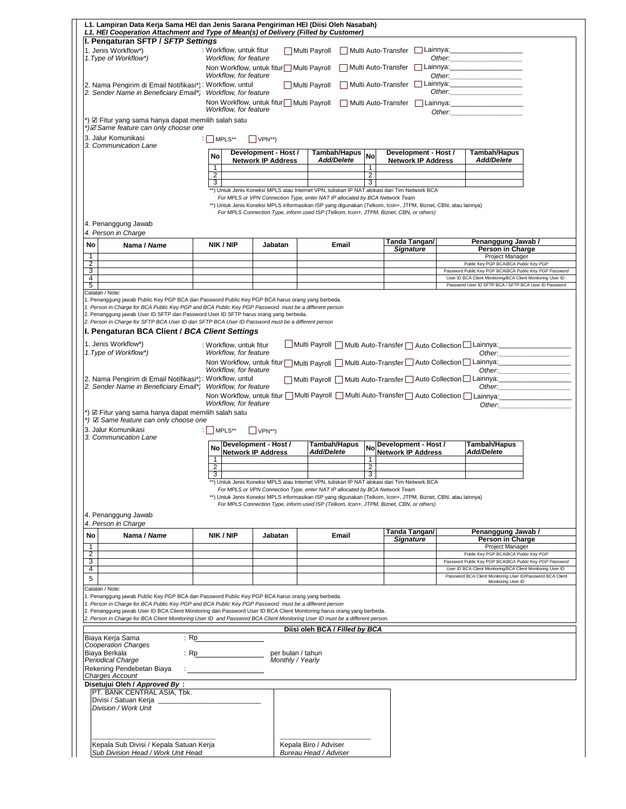| I. Pengaturan SFTP / SFTP Settings                                                                                                                                                                                                                                                                                                                                      |        |                                                  |                                                                                                                                                                                                           | L1. HEI Cooperation Attachment and Type of Mean(s) of Delivery (Filled by Customer)                                                                                                                                                                                                     |                |                                                   |        |                                                                                                                                                                                                                                                    |  |
|-------------------------------------------------------------------------------------------------------------------------------------------------------------------------------------------------------------------------------------------------------------------------------------------------------------------------------------------------------------------------|--------|--------------------------------------------------|-----------------------------------------------------------------------------------------------------------------------------------------------------------------------------------------------------------|-----------------------------------------------------------------------------------------------------------------------------------------------------------------------------------------------------------------------------------------------------------------------------------------|----------------|---------------------------------------------------|--------|----------------------------------------------------------------------------------------------------------------------------------------------------------------------------------------------------------------------------------------------------|--|
| 1. Jenis Workflow*)<br>1. Type of Workflow*)                                                                                                                                                                                                                                                                                                                            |        | : Workflow, untuk fitur<br>Workflow, for feature |                                                                                                                                                                                                           | Multi Payroll                                                                                                                                                                                                                                                                           |                | Multi Auto-Transfer Lainnya:                      | Other. |                                                                                                                                                                                                                                                    |  |
|                                                                                                                                                                                                                                                                                                                                                                         |        |                                                  | Non Workflow, untuk fitur Multi Payroll                                                                                                                                                                   |                                                                                                                                                                                                                                                                                         |                | Multi Auto-Transfer                               |        |                                                                                                                                                                                                                                                    |  |
|                                                                                                                                                                                                                                                                                                                                                                         |        | Workflow, for feature                            |                                                                                                                                                                                                           |                                                                                                                                                                                                                                                                                         |                | $\Box$ Lainnya:<br>Multi Auto-Transfer            | Other. |                                                                                                                                                                                                                                                    |  |
| 2. Nama Pengirim di Email Notifikasi*): Workflow, untul<br>2. Sender Name in Beneficiary Email*) Workflow, for feature                                                                                                                                                                                                                                                  |        |                                                  |                                                                                                                                                                                                           | Multi Payroll                                                                                                                                                                                                                                                                           |                |                                                   |        | Other: and the contract of the contract of the contract of the contract of the contract of the contract of the                                                                                                                                     |  |
|                                                                                                                                                                                                                                                                                                                                                                         |        |                                                  | Non Workflow, untuk fitur Multi Payroll                                                                                                                                                                   |                                                                                                                                                                                                                                                                                         |                | Multi Auto-Transfer                               |        | Lainnya:_______________                                                                                                                                                                                                                            |  |
| *) ☑ Fitur yang sama hanya dapat memilih salah satu                                                                                                                                                                                                                                                                                                                     |        | Workflow, for feature                            |                                                                                                                                                                                                           |                                                                                                                                                                                                                                                                                         |                |                                                   | Other. |                                                                                                                                                                                                                                                    |  |
| *)Ø Same feature can only choose one                                                                                                                                                                                                                                                                                                                                    |        |                                                  |                                                                                                                                                                                                           |                                                                                                                                                                                                                                                                                         |                |                                                   |        |                                                                                                                                                                                                                                                    |  |
| 3. Jalur Komunikasi                                                                                                                                                                                                                                                                                                                                                     |        | $:\Box$ MPLS**                                   | VPN**)                                                                                                                                                                                                    |                                                                                                                                                                                                                                                                                         |                |                                                   |        |                                                                                                                                                                                                                                                    |  |
| 3. Communication Lane                                                                                                                                                                                                                                                                                                                                                   |        | No                                               | Development - Host /                                                                                                                                                                                      | Tambah/Hapus                                                                                                                                                                                                                                                                            | No             | Development - Host /                              |        | Tambah/Hapus                                                                                                                                                                                                                                       |  |
|                                                                                                                                                                                                                                                                                                                                                                         |        | 1                                                | <b>Network IP Address</b>                                                                                                                                                                                 | Add/Delete                                                                                                                                                                                                                                                                              | 1.             | <b>Network IP Address</b>                         |        | Add/Delete                                                                                                                                                                                                                                         |  |
|                                                                                                                                                                                                                                                                                                                                                                         |        | $\overline{2}$                                   |                                                                                                                                                                                                           |                                                                                                                                                                                                                                                                                         | $\overline{2}$ |                                                   |        |                                                                                                                                                                                                                                                    |  |
|                                                                                                                                                                                                                                                                                                                                                                         |        | 3                                                |                                                                                                                                                                                                           | **) Untuk Jenis Koneksi MPLS atau Internet VPN, tuliskan IP NAT alokasi dari Tim Network BCA                                                                                                                                                                                            | 3              |                                                   |        |                                                                                                                                                                                                                                                    |  |
| 4. Penanggung Jawab                                                                                                                                                                                                                                                                                                                                                     |        |                                                  |                                                                                                                                                                                                           | For MPLS or VPN Connection Type, enter NAT IP allocated by BCA Network Team<br>**) Untuk Jenis Koneksi MPLS informasikan ISP yang digunakan (Telkom, Icon+, JTPM, Biznet, CBN, atau lainnya)<br>For MPLS Connection Type, inform used ISP (Telkom, Icon+, JTPM, Biznet, CBN, or others) |                |                                                   |        |                                                                                                                                                                                                                                                    |  |
| 4. Person in Charge                                                                                                                                                                                                                                                                                                                                                     |        |                                                  |                                                                                                                                                                                                           |                                                                                                                                                                                                                                                                                         |                | Tanda Tangan/                                     |        | Penanggung Jawab /                                                                                                                                                                                                                                 |  |
| No<br>Nama / Name<br>1                                                                                                                                                                                                                                                                                                                                                  |        | NIK / NIP                                        | Jabatan                                                                                                                                                                                                   | Email                                                                                                                                                                                                                                                                                   |                | <b>Signature</b>                                  |        | Person in Charge                                                                                                                                                                                                                                   |  |
| 2                                                                                                                                                                                                                                                                                                                                                                       |        |                                                  |                                                                                                                                                                                                           |                                                                                                                                                                                                                                                                                         |                |                                                   |        | Project Manager<br>Public Key PGP BCA/BCA Public Key PGP                                                                                                                                                                                           |  |
| 3<br>4                                                                                                                                                                                                                                                                                                                                                                  |        |                                                  |                                                                                                                                                                                                           |                                                                                                                                                                                                                                                                                         |                |                                                   |        | Password Public Key PGP BCA/BCA Public Key PGP Password<br>User ID BCA Client Monitoring/BCA Client Monitoring User ID                                                                                                                             |  |
| 5<br>Catatan / Note:                                                                                                                                                                                                                                                                                                                                                    |        |                                                  |                                                                                                                                                                                                           |                                                                                                                                                                                                                                                                                         |                |                                                   |        | Password User ID SFTP BCA / SFTP BCA User ID Password                                                                                                                                                                                              |  |
|                                                                                                                                                                                                                                                                                                                                                                         |        |                                                  | Workflow, for feature                                                                                                                                                                                     | Non Workflow, untuk fitur   Multi Payroll   Multi Auto-Transfer   Auto Collection   Lainnya:                                                                                                                                                                                            |                |                                                   |        | _ Multi Payroll □ Multi Auto-Transfer □ Auto Collection □ Lainnya:<br>Other:                                                                                                                                                                       |  |
|                                                                                                                                                                                                                                                                                                                                                                         |        | Workflow, for feature<br>Workflow, for feature   |                                                                                                                                                                                                           | □ Multi Payroll   Multi Auto-Transfer   Auto Collection   Lainnya:<br>Non Workflow, untuk fitur Multi Payroll Multi Auto-Transfer Auto Collection   Lainnya:                                                                                                                            |                |                                                   |        | Other.<br>Other: the contract of the contract of the contract of the contract of the contract of the contract of the contract of the contract of the contract of the contract of the contract of the contract of the contract of the con<br>Other: |  |
|                                                                                                                                                                                                                                                                                                                                                                         |        | MPLS**<br>÷                                      | VPN**)                                                                                                                                                                                                    |                                                                                                                                                                                                                                                                                         |                |                                                   |        |                                                                                                                                                                                                                                                    |  |
|                                                                                                                                                                                                                                                                                                                                                                         |        | No                                               | Development - Host /<br><b>Network IP Address</b>                                                                                                                                                         | Tambah/Hapus<br>Add/Delete                                                                                                                                                                                                                                                              | No             | Development - Host /<br><b>Network IP Address</b> |        | Tambah/Hapus<br>Add/Delete                                                                                                                                                                                                                         |  |
|                                                                                                                                                                                                                                                                                                                                                                         |        | 2                                                |                                                                                                                                                                                                           |                                                                                                                                                                                                                                                                                         | 1<br>2         |                                                   |        |                                                                                                                                                                                                                                                    |  |
|                                                                                                                                                                                                                                                                                                                                                                         |        | 3                                                |                                                                                                                                                                                                           | **) Untuk Jenis Koneksi MPLS atau Internet VPN, tuliskan IP NAT alokasi dari Tim Network BCA                                                                                                                                                                                            | 3              |                                                   |        |                                                                                                                                                                                                                                                    |  |
|                                                                                                                                                                                                                                                                                                                                                                         |        |                                                  |                                                                                                                                                                                                           | For MPLS or VPN Connection Type, enter NAT IP allocated by BCA Network Team<br>**) Untuk Jenis Koneksi MPLS informasikan ISP yang digunakan (Telkom, Icon+, JTPM, Biznet, CBN, atau lainnya)<br>For MPLS Connection Type, inform used ISP (Telkom, Icon+, JTPM, Biznet, CBN, or others) |                |                                                   |        |                                                                                                                                                                                                                                                    |  |
| Nama / Name                                                                                                                                                                                                                                                                                                                                                             |        | NIK / NIP                                        | Jabatan                                                                                                                                                                                                   | Email                                                                                                                                                                                                                                                                                   |                | Tanda Tangan/                                     |        | Penanggung Jawab /                                                                                                                                                                                                                                 |  |
|                                                                                                                                                                                                                                                                                                                                                                         |        |                                                  |                                                                                                                                                                                                           |                                                                                                                                                                                                                                                                                         |                | <b>Signature</b>                                  |        | Person in Charge<br>Project Manager                                                                                                                                                                                                                |  |
|                                                                                                                                                                                                                                                                                                                                                                         |        |                                                  |                                                                                                                                                                                                           |                                                                                                                                                                                                                                                                                         |                |                                                   |        | Public Key PGP BCA/BCA Public Key PGP<br>Password Public Key PGP BCA/BCA Public Key PGP Password                                                                                                                                                   |  |
|                                                                                                                                                                                                                                                                                                                                                                         |        |                                                  |                                                                                                                                                                                                           |                                                                                                                                                                                                                                                                                         |                |                                                   |        | User ID BCA Client Monitoring/BCA Client Monitoring User ID                                                                                                                                                                                        |  |
| 1. Type of Workflow*)<br>2. Nama Pengirim di Email Notifikasi*): Workflow, untul<br>2. Sender Name in Beneficiary Email*) Workflow, for feature<br>*) Ø Fitur yang sama hanya dapat memilih salah satu<br>*) Ø Same feature can only choose one<br>3. Jalur Komunikasi<br>3. Communication Lane<br>4. Penanggung Jawab<br>4. Person in Charge<br>No<br>1<br>2<br>3<br>4 |        |                                                  |                                                                                                                                                                                                           |                                                                                                                                                                                                                                                                                         |                |                                                   |        |                                                                                                                                                                                                                                                    |  |
|                                                                                                                                                                                                                                                                                                                                                                         |        |                                                  | 1. Penanggung jawab Public Key PGP BCA dan Password Public Key PGP BCA harus orang yang berbeda.<br>1. Person in Charge for BCA Public Key PGP and BCA Public Key PGP Password must be a different person | 2. Penanggung jawab User ID BCA Client Monitoring dan Password User ID BCA Client Monitoring harus orang yang berbeda.<br>2. Person in Charge for BCA Client Monitoring User ID and Password BCA Client Monitoring User ID must be a different person.                                  |                |                                                   |        | Password BCA Client Monitoring User ID/Password BCA Client<br>Monitoring User ID                                                                                                                                                                   |  |
|                                                                                                                                                                                                                                                                                                                                                                         |        |                                                  |                                                                                                                                                                                                           | Diisi oleh BCA / Filled by BCA                                                                                                                                                                                                                                                          |                |                                                   |        |                                                                                                                                                                                                                                                    |  |
|                                                                                                                                                                                                                                                                                                                                                                         | $:$ Rp |                                                  |                                                                                                                                                                                                           |                                                                                                                                                                                                                                                                                         |                |                                                   |        |                                                                                                                                                                                                                                                    |  |
|                                                                                                                                                                                                                                                                                                                                                                         | : Rp   |                                                  | per bulan / tahun                                                                                                                                                                                         |                                                                                                                                                                                                                                                                                         |                |                                                   |        |                                                                                                                                                                                                                                                    |  |
|                                                                                                                                                                                                                                                                                                                                                                         |        |                                                  | Monthly / Yearly                                                                                                                                                                                          |                                                                                                                                                                                                                                                                                         |                |                                                   |        |                                                                                                                                                                                                                                                    |  |
|                                                                                                                                                                                                                                                                                                                                                                         |        |                                                  |                                                                                                                                                                                                           |                                                                                                                                                                                                                                                                                         |                |                                                   |        |                                                                                                                                                                                                                                                    |  |
|                                                                                                                                                                                                                                                                                                                                                                         |        |                                                  |                                                                                                                                                                                                           |                                                                                                                                                                                                                                                                                         |                |                                                   |        |                                                                                                                                                                                                                                                    |  |
| 5<br>Catatan / Note:<br>Biaya Kerja Sama<br>Cooperation Charges<br>Biaya Berkala<br>Periodical Charge<br>Rekening Pendebetan Biaya<br>Charges Account<br>Disetujui Oleh / Approved By:<br>PT. BANK CENTRAL ASIA, Tbk.<br>Divisi / Satuan Kerja _                                                                                                                        |        |                                                  |                                                                                                                                                                                                           |                                                                                                                                                                                                                                                                                         |                |                                                   |        |                                                                                                                                                                                                                                                    |  |
| Division / Work Unit                                                                                                                                                                                                                                                                                                                                                    |        |                                                  |                                                                                                                                                                                                           |                                                                                                                                                                                                                                                                                         |                |                                                   |        |                                                                                                                                                                                                                                                    |  |
|                                                                                                                                                                                                                                                                                                                                                                         |        |                                                  |                                                                                                                                                                                                           |                                                                                                                                                                                                                                                                                         |                |                                                   |        |                                                                                                                                                                                                                                                    |  |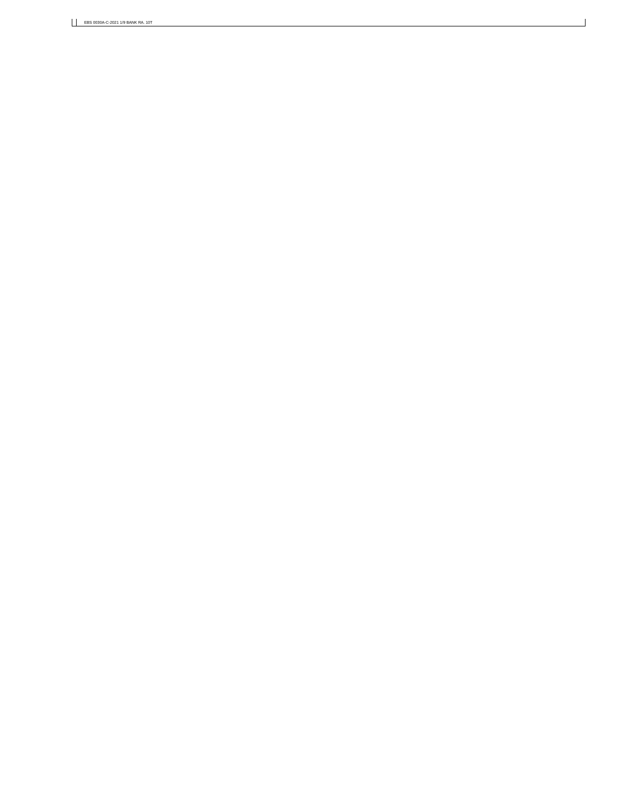EBS 0030A-C-2021 1/9 BANK RA. 10T

 $\overline{\phantom{0}}$